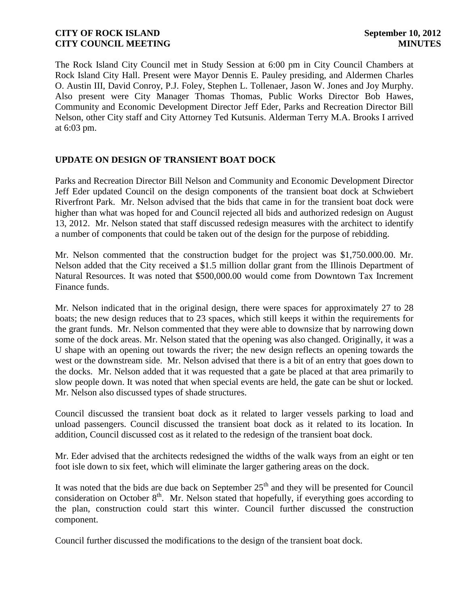The Rock Island City Council met in Study Session at 6:00 pm in City Council Chambers at Rock Island City Hall. Present were Mayor Dennis E. Pauley presiding, and Aldermen Charles O. Austin III, David Conroy, P.J. Foley, Stephen L. Tollenaer, Jason W. Jones and Joy Murphy. Also present were City Manager Thomas Thomas, Public Works Director Bob Hawes, Community and Economic Development Director Jeff Eder, Parks and Recreation Director Bill Nelson, other City staff and City Attorney Ted Kutsunis. Alderman Terry M.A. Brooks I arrived at 6:03 pm.

## **UPDATE ON DESIGN OF TRANSIENT BOAT DOCK**

Parks and Recreation Director Bill Nelson and Community and Economic Development Director Jeff Eder updated Council on the design components of the transient boat dock at Schwiebert Riverfront Park. Mr. Nelson advised that the bids that came in for the transient boat dock were higher than what was hoped for and Council rejected all bids and authorized redesign on August 13, 2012. Mr. Nelson stated that staff discussed redesign measures with the architect to identify a number of components that could be taken out of the design for the purpose of rebidding.

Mr. Nelson commented that the construction budget for the project was \$1,750.000.00. Mr. Nelson added that the City received a \$1.5 million dollar grant from the Illinois Department of Natural Resources. It was noted that \$500,000.00 would come from Downtown Tax Increment Finance funds.

Mr. Nelson indicated that in the original design, there were spaces for approximately 27 to 28 boats; the new design reduces that to 23 spaces, which still keeps it within the requirements for the grant funds. Mr. Nelson commented that they were able to downsize that by narrowing down some of the dock areas. Mr. Nelson stated that the opening was also changed. Originally, it was a U shape with an opening out towards the river; the new design reflects an opening towards the west or the downstream side. Mr. Nelson advised that there is a bit of an entry that goes down to the docks. Mr. Nelson added that it was requested that a gate be placed at that area primarily to slow people down. It was noted that when special events are held, the gate can be shut or locked. Mr. Nelson also discussed types of shade structures.

Council discussed the transient boat dock as it related to larger vessels parking to load and unload passengers. Council discussed the transient boat dock as it related to its location. In addition, Council discussed cost as it related to the redesign of the transient boat dock.

Mr. Eder advised that the architects redesigned the widths of the walk ways from an eight or ten foot isle down to six feet, which will eliminate the larger gathering areas on the dock.

It was noted that the bids are due back on September  $25<sup>th</sup>$  and they will be presented for Council consideration on October  $8<sup>th</sup>$ . Mr. Nelson stated that hopefully, if everything goes according to the plan, construction could start this winter. Council further discussed the construction component.

Council further discussed the modifications to the design of the transient boat dock.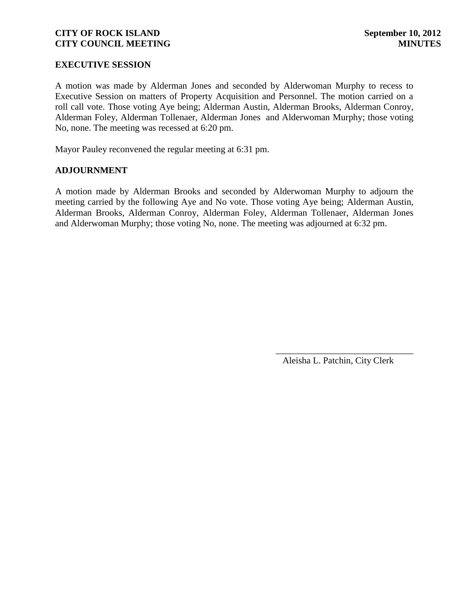## **EXECUTIVE SESSION**

A motion was made by Alderman Jones and seconded by Alderwoman Murphy to recess to Executive Session on matters of Property Acquisition and Personnel. The motion carried on a roll call vote. Those voting Aye being; Alderman Austin, Alderman Brooks, Alderman Conroy, Alderman Foley, Alderman Tollenaer, Alderman Jones and Alderwoman Murphy; those voting No, none. The meeting was recessed at 6:20 pm.

Mayor Pauley reconvened the regular meeting at 6:31 pm.

### **ADJOURNMENT**

A motion made by Alderman Brooks and seconded by Alderwoman Murphy to adjourn the meeting carried by the following Aye and No vote. Those voting Aye being; Alderman Austin, Alderman Brooks, Alderman Conroy, Alderman Foley, Alderman Tollenaer, Alderman Jones and Alderwoman Murphy; those voting No, none. The meeting was adjourned at 6:32 pm.

Aleisha L. Patchin, City Clerk

\_\_\_\_\_\_\_\_\_\_\_\_\_\_\_\_\_\_\_\_\_\_\_\_\_\_\_\_\_\_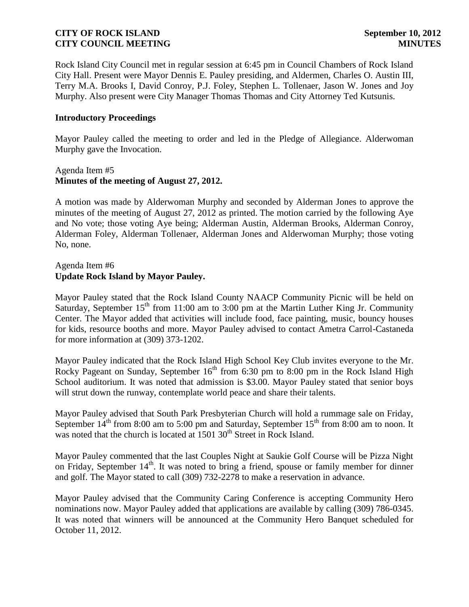Rock Island City Council met in regular session at 6:45 pm in Council Chambers of Rock Island City Hall. Present were Mayor Dennis E. Pauley presiding, and Aldermen, Charles O. Austin III, Terry M.A. Brooks I, David Conroy, P.J. Foley, Stephen L. Tollenaer, Jason W. Jones and Joy Murphy. Also present were City Manager Thomas Thomas and City Attorney Ted Kutsunis.

### **Introductory Proceedings**

Mayor Pauley called the meeting to order and led in the Pledge of Allegiance. Alderwoman Murphy gave the Invocation.

### Agenda Item #5 **Minutes of the meeting of August 27, 2012.**

A motion was made by Alderwoman Murphy and seconded by Alderman Jones to approve the minutes of the meeting of August 27, 2012 as printed. The motion carried by the following Aye and No vote; those voting Aye being; Alderman Austin, Alderman Brooks, Alderman Conroy, Alderman Foley, Alderman Tollenaer, Alderman Jones and Alderwoman Murphy; those voting No, none.

## Agenda Item #6 **Update Rock Island by Mayor Pauley.**

Mayor Pauley stated that the Rock Island County NAACP Community Picnic will be held on Saturday, September  $15<sup>th</sup>$  from 11:00 am to 3:00 pm at the Martin Luther King Jr. Community Center. The Mayor added that activities will include food, face painting, music, bouncy houses for kids, resource booths and more. Mayor Pauley advised to contact Ametra Carrol-Castaneda for more information at (309) 373-1202.

Mayor Pauley indicated that the Rock Island High School Key Club invites everyone to the Mr. Rocky Pageant on Sunday, September  $16<sup>th</sup>$  from 6:30 pm to 8:00 pm in the Rock Island High School auditorium. It was noted that admission is \$3.00. Mayor Pauley stated that senior boys will strut down the runway, contemplate world peace and share their talents.

Mayor Pauley advised that South Park Presbyterian Church will hold a rummage sale on Friday, September  $14<sup>th</sup>$  from 8:00 am to 5:00 pm and Saturday, September  $15<sup>th</sup>$  from 8:00 am to noon. It was noted that the church is located at  $150130<sup>th</sup>$  Street in Rock Island.

Mayor Pauley commented that the last Couples Night at Saukie Golf Course will be Pizza Night on Friday, September  $14<sup>th</sup>$ . It was noted to bring a friend, spouse or family member for dinner and golf. The Mayor stated to call (309) 732-2278 to make a reservation in advance.

Mayor Pauley advised that the Community Caring Conference is accepting Community Hero nominations now. Mayor Pauley added that applications are available by calling (309) 786-0345. It was noted that winners will be announced at the Community Hero Banquet scheduled for October 11, 2012.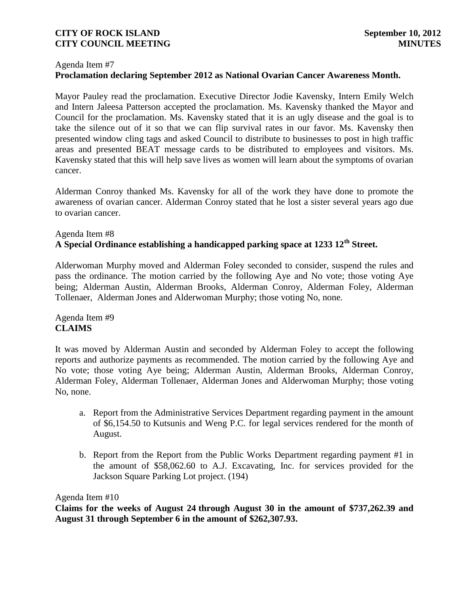### Agenda Item #7

# **Proclamation declaring September 2012 as National Ovarian Cancer Awareness Month.**

Mayor Pauley read the proclamation. Executive Director Jodie Kavensky, Intern Emily Welch and Intern Jaleesa Patterson accepted the proclamation. Ms. Kavensky thanked the Mayor and Council for the proclamation. Ms. Kavensky stated that it is an ugly disease and the goal is to take the silence out of it so that we can flip survival rates in our favor. Ms. Kavensky then presented window cling tags and asked Council to distribute to businesses to post in high traffic areas and presented BEAT message cards to be distributed to employees and visitors. Ms. Kavensky stated that this will help save lives as women will learn about the symptoms of ovarian cancer.

Alderman Conroy thanked Ms. Kavensky for all of the work they have done to promote the awareness of ovarian cancer. Alderman Conroy stated that he lost a sister several years ago due to ovarian cancer.

# Agenda Item #8 **A Special Ordinance establishing a handicapped parking space at 1233 12th Street.**

Alderwoman Murphy moved and Alderman Foley seconded to consider, suspend the rules and pass the ordinance. The motion carried by the following Aye and No vote; those voting Aye being; Alderman Austin, Alderman Brooks, Alderman Conroy, Alderman Foley, Alderman Tollenaer, Alderman Jones and Alderwoman Murphy; those voting No, none.

# Agenda Item #9 **CLAIMS**

It was moved by Alderman Austin and seconded by Alderman Foley to accept the following reports and authorize payments as recommended. The motion carried by the following Aye and No vote; those voting Aye being; Alderman Austin, Alderman Brooks, Alderman Conroy, Alderman Foley, Alderman Tollenaer, Alderman Jones and Alderwoman Murphy; those voting No, none.

- a. Report from the Administrative Services Department regarding payment in the amount of \$6,154.50 to Kutsunis and Weng P.C. for legal services rendered for the month of August.
- b. Report from the Report from the Public Works Department regarding payment #1 in the amount of \$58,062.60 to A.J. Excavating, Inc. for services provided for the Jackson Square Parking Lot project. (194)

Agenda Item #10

**Claims for the weeks of August 24 through August 30 in the amount of \$737,262.39 and August 31 through September 6 in the amount of \$262,307.93.**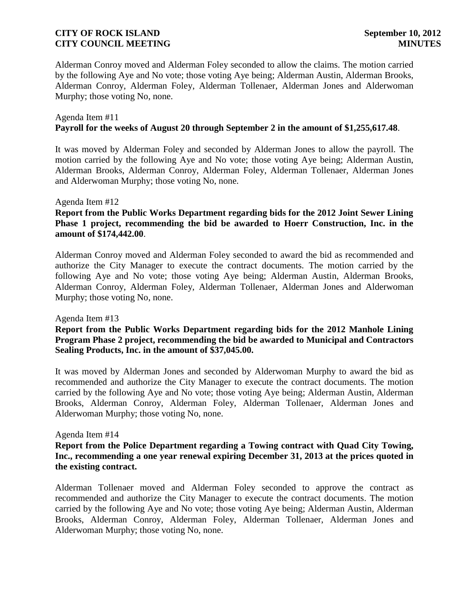Alderman Conroy moved and Alderman Foley seconded to allow the claims. The motion carried by the following Aye and No vote; those voting Aye being; Alderman Austin, Alderman Brooks, Alderman Conroy, Alderman Foley, Alderman Tollenaer, Alderman Jones and Alderwoman Murphy; those voting No, none.

### Agenda Item #11 **Payroll for the weeks of August 20 through September 2 in the amount of \$1,255,617.48**.

It was moved by Alderman Foley and seconded by Alderman Jones to allow the payroll. The motion carried by the following Aye and No vote; those voting Aye being; Alderman Austin, Alderman Brooks, Alderman Conroy, Alderman Foley, Alderman Tollenaer, Alderman Jones and Alderwoman Murphy; those voting No, none.

### Agenda Item #12

## **Report from the Public Works Department regarding bids for the 2012 Joint Sewer Lining Phase 1 project, recommending the bid be awarded to Hoerr Construction, Inc. in the amount of \$174,442.00**.

Alderman Conroy moved and Alderman Foley seconded to award the bid as recommended and authorize the City Manager to execute the contract documents. The motion carried by the following Aye and No vote; those voting Aye being; Alderman Austin, Alderman Brooks, Alderman Conroy, Alderman Foley, Alderman Tollenaer, Alderman Jones and Alderwoman Murphy; those voting No, none.

### Agenda Item #13

## **Report from the Public Works Department regarding bids for the 2012 Manhole Lining Program Phase 2 project, recommending the bid be awarded to Municipal and Contractors Sealing Products, Inc. in the amount of \$37,045.00.**

It was moved by Alderman Jones and seconded by Alderwoman Murphy to award the bid as recommended and authorize the City Manager to execute the contract documents. The motion carried by the following Aye and No vote; those voting Aye being; Alderman Austin, Alderman Brooks, Alderman Conroy, Alderman Foley, Alderman Tollenaer, Alderman Jones and Alderwoman Murphy; those voting No, none.

### Agenda Item #14

## **Report from the Police Department regarding a Towing contract with Quad City Towing, Inc., recommending a one year renewal expiring December 31, 2013 at the prices quoted in the existing contract.**

Alderman Tollenaer moved and Alderman Foley seconded to approve the contract as recommended and authorize the City Manager to execute the contract documents. The motion carried by the following Aye and No vote; those voting Aye being; Alderman Austin, Alderman Brooks, Alderman Conroy, Alderman Foley, Alderman Tollenaer, Alderman Jones and Alderwoman Murphy; those voting No, none.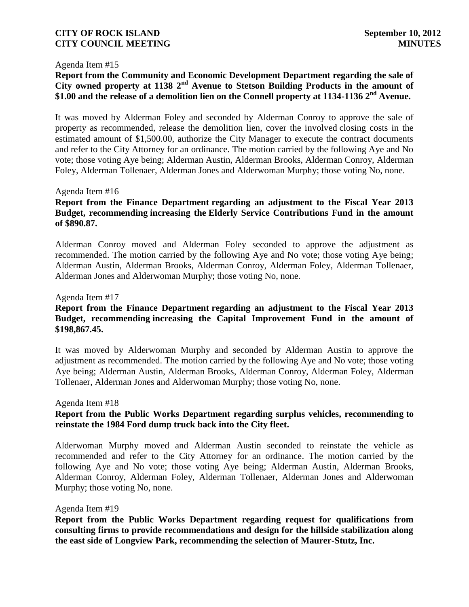### Agenda Item #15

**Report from the Community and Economic Development Department regarding the sale of City owned property at 1138 2nd Avenue to Stetson Building Products in the amount of \$1.00 and the release of a demolition lien on the Connell property at 1134-1136 2nd Avenue.**

It was moved by Alderman Foley and seconded by Alderman Conroy to approve the sale of property as recommended, release the demolition lien, cover the involved closing costs in the estimated amount of \$1,500.00, authorize the City Manager to execute the contract documents and refer to the City Attorney for an ordinance. The motion carried by the following Aye and No vote; those voting Aye being; Alderman Austin, Alderman Brooks, Alderman Conroy, Alderman Foley, Alderman Tollenaer, Alderman Jones and Alderwoman Murphy; those voting No, none.

### Agenda Item #16

# **Report from the Finance Department regarding an adjustment to the Fiscal Year 2013 Budget, recommending increasing the Elderly Service Contributions Fund in the amount of \$890.87.**

Alderman Conroy moved and Alderman Foley seconded to approve the adjustment as recommended. The motion carried by the following Aye and No vote; those voting Aye being; Alderman Austin, Alderman Brooks, Alderman Conroy, Alderman Foley, Alderman Tollenaer, Alderman Jones and Alderwoman Murphy; those voting No, none.

### Agenda Item #17

# **Report from the Finance Department regarding an adjustment to the Fiscal Year 2013 Budget, recommending increasing the Capital Improvement Fund in the amount of \$198,867.45.**

It was moved by Alderwoman Murphy and seconded by Alderman Austin to approve the adjustment as recommended. The motion carried by the following Aye and No vote; those voting Aye being; Alderman Austin, Alderman Brooks, Alderman Conroy, Alderman Foley, Alderman Tollenaer, Alderman Jones and Alderwoman Murphy; those voting No, none.

### Agenda Item #18

## **Report from the Public Works Department regarding surplus vehicles, recommending to reinstate the 1984 Ford dump truck back into the City fleet.**

Alderwoman Murphy moved and Alderman Austin seconded to reinstate the vehicle as recommended and refer to the City Attorney for an ordinance. The motion carried by the following Aye and No vote; those voting Aye being; Alderman Austin, Alderman Brooks, Alderman Conroy, Alderman Foley, Alderman Tollenaer, Alderman Jones and Alderwoman Murphy; those voting No, none.

### Agenda Item #19

**Report from the Public Works Department regarding request for qualifications from consulting firms to provide recommendations and design for the hillside stabilization along the east side of Longview Park, recommending the selection of Maurer-Stutz, Inc.**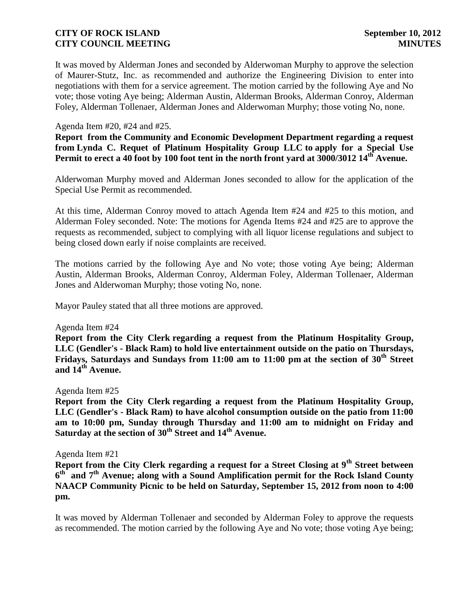It was moved by Alderman Jones and seconded by Alderwoman Murphy to approve the selection of Maurer-Stutz, Inc. as recommended and authorize the Engineering Division to enter into negotiations with them for a service agreement. The motion carried by the following Aye and No vote; those voting Aye being; Alderman Austin, Alderman Brooks, Alderman Conroy, Alderman Foley, Alderman Tollenaer, Alderman Jones and Alderwoman Murphy; those voting No, none.

### Agenda Item #20, #24 and #25.

**Report from the Community and Economic Development Department regarding a request from Lynda C. Requet of Platinum Hospitality Group LLC to apply for a Special Use Permit to erect a 40 foot by 100 foot tent in the north front yard at 3000/3012 14th Avenue.**

Alderwoman Murphy moved and Alderman Jones seconded to allow for the application of the Special Use Permit as recommended.

At this time, Alderman Conroy moved to attach Agenda Item #24 and #25 to this motion, and Alderman Foley seconded. Note: The motions for Agenda Items #24 and #25 are to approve the requests as recommended, subject to complying with all liquor license regulations and subject to being closed down early if noise complaints are received.

The motions carried by the following Aye and No vote; those voting Aye being; Alderman Austin, Alderman Brooks, Alderman Conroy, Alderman Foley, Alderman Tollenaer, Alderman Jones and Alderwoman Murphy; those voting No, none.

Mayor Pauley stated that all three motions are approved.

### Agenda Item #24

**Report from the City Clerk regarding a request from the Platinum Hospitality Group, LLC (Gendler's - Black Ram) to hold live entertainment outside on the patio on Thursdays, Fridays, Saturdays and Sundays from 11:00 am to 11:00 pm at the section of 30th Street and 14th Avenue.**

### Agenda Item #25

**Report from the City Clerk regarding a request from the Platinum Hospitality Group, LLC (Gendler's - Black Ram) to have alcohol consumption outside on the patio from 11:00 am to 10:00 pm, Sunday through Thursday and 11:00 am to midnight on Friday and Saturday at the section of 30th Street and 14th Avenue.**

### Agenda Item #21

**Report from the City Clerk regarding a request for a Street Closing at 9th Street between 6 th and 7th Avenue; along with a Sound Amplification permit for the Rock Island County NAACP Community Picnic to be held on Saturday, September 15, 2012 from noon to 4:00 pm.**

 It was moved by Alderman Tollenaer and seconded by Alderman Foley to approve the requests as recommended. The motion carried by the following Aye and No vote; those voting Aye being;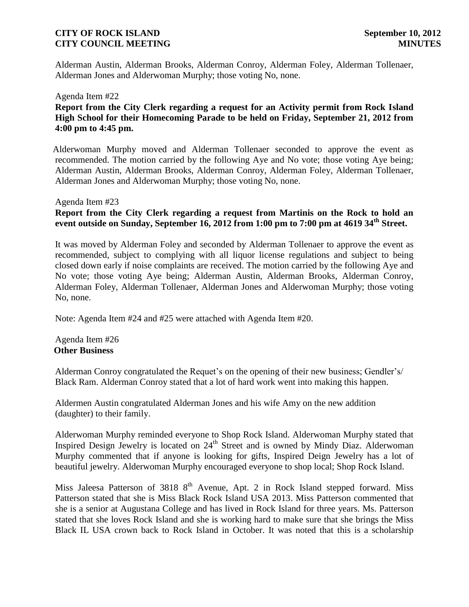Alderman Austin, Alderman Brooks, Alderman Conroy, Alderman Foley, Alderman Tollenaer, Alderman Jones and Alderwoman Murphy; those voting No, none.

### Agenda Item #22

# **Report from the City Clerk regarding a request for an Activity permit from Rock Island High School for their Homecoming Parade to be held on Friday, September 21, 2012 from 4:00 pm to 4:45 pm.**

 Alderwoman Murphy moved and Alderman Tollenaer seconded to approve the event as recommended. The motion carried by the following Aye and No vote; those voting Aye being; Alderman Austin, Alderman Brooks, Alderman Conroy, Alderman Foley, Alderman Tollenaer, Alderman Jones and Alderwoman Murphy; those voting No, none.

### Agenda Item #23

# **Report from the City Clerk regarding a request from Martinis on the Rock to hold an event outside on Sunday, September 16, 2012 from 1:00 pm to 7:00 pm at 4619 34th Street.**

It was moved by Alderman Foley and seconded by Alderman Tollenaer to approve the event as recommended, subject to complying with all liquor license regulations and subject to being closed down early if noise complaints are received. The motion carried by the following Aye and No vote; those voting Aye being; Alderman Austin, Alderman Brooks, Alderman Conroy, Alderman Foley, Alderman Tollenaer, Alderman Jones and Alderwoman Murphy; those voting No, none.

Note: Agenda Item #24 and #25 were attached with Agenda Item #20.

### Agenda Item #26 **Other Business**

Alderman Conroy congratulated the Requet's on the opening of their new business; Gendler's/ Black Ram. Alderman Conroy stated that a lot of hard work went into making this happen.

Aldermen Austin congratulated Alderman Jones and his wife Amy on the new addition (daughter) to their family.

Alderwoman Murphy reminded everyone to Shop Rock Island. Alderwoman Murphy stated that Inspired Design Jewelry is located on  $24<sup>th</sup>$  Street and is owned by Mindy Diaz. Alderwoman Murphy commented that if anyone is looking for gifts, Inspired Deign Jewelry has a lot of beautiful jewelry. Alderwoman Murphy encouraged everyone to shop local; Shop Rock Island.

Miss Jaleesa Patterson of 3818  $8<sup>th</sup>$  Avenue, Apt. 2 in Rock Island stepped forward. Miss Patterson stated that she is Miss Black Rock Island USA 2013. Miss Patterson commented that she is a senior at Augustana College and has lived in Rock Island for three years. Ms. Patterson stated that she loves Rock Island and she is working hard to make sure that she brings the Miss Black IL USA crown back to Rock Island in October. It was noted that this is a scholarship